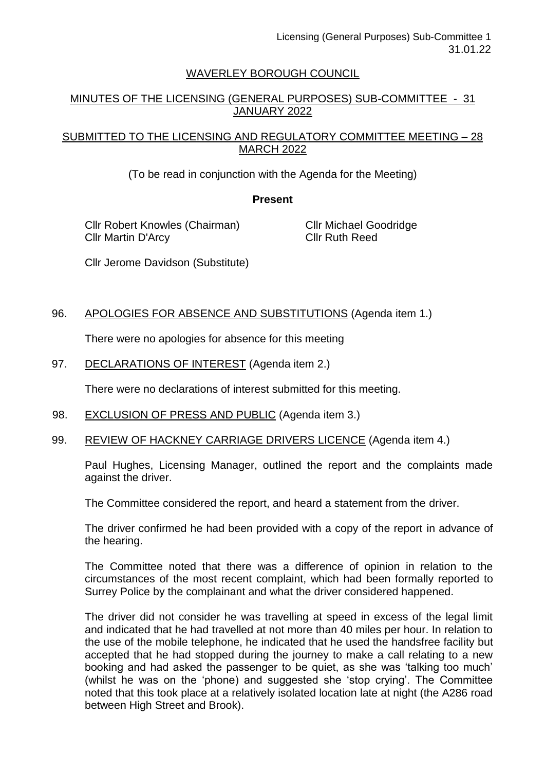# WAVERLEY BOROUGH COUNCIL

# MINUTES OF THE LICENSING (GENERAL PURPOSES) SUB-COMMITTEE - 31 JANUARY 2022

## SUBMITTED TO THE LICENSING AND REGULATORY COMMITTEE MEETING – 28 MARCH 2022

(To be read in conjunction with the Agenda for the Meeting)

#### **Present**

Cllr Robert Knowles (Chairman) Cllr Martin D'Arcy

Cllr Michael Goodridge Cllr Ruth Reed

Cllr Jerome Davidson (Substitute)

# 96. APOLOGIES FOR ABSENCE AND SUBSTITUTIONS (Agenda item 1.)

There were no apologies for absence for this meeting

#### 97. DECLARATIONS OF INTEREST (Agenda item 2.)

There were no declarations of interest submitted for this meeting.

- 98. EXCLUSION OF PRESS AND PUBLIC (Agenda item 3.)
- 99. REVIEW OF HACKNEY CARRIAGE DRIVERS LICENCE (Agenda item 4.)

Paul Hughes, Licensing Manager, outlined the report and the complaints made against the driver.

The Committee considered the report, and heard a statement from the driver.

The driver confirmed he had been provided with a copy of the report in advance of the hearing.

The Committee noted that there was a difference of opinion in relation to the circumstances of the most recent complaint, which had been formally reported to Surrey Police by the complainant and what the driver considered happened.

The driver did not consider he was travelling at speed in excess of the legal limit and indicated that he had travelled at not more than 40 miles per hour. In relation to the use of the mobile telephone, he indicated that he used the handsfree facility but accepted that he had stopped during the journey to make a call relating to a new booking and had asked the passenger to be quiet, as she was 'talking too much' (whilst he was on the 'phone) and suggested she 'stop crying'. The Committee noted that this took place at a relatively isolated location late at night (the A286 road between High Street and Brook).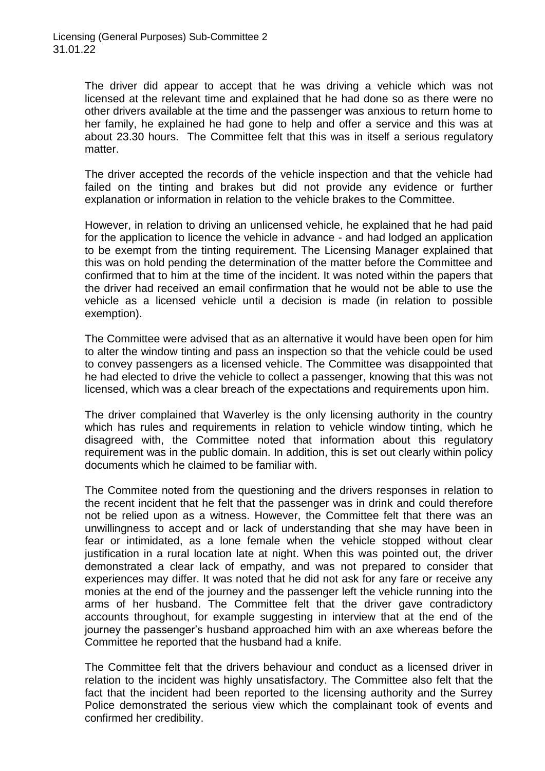The driver did appear to accept that he was driving a vehicle which was not licensed at the relevant time and explained that he had done so as there were no other drivers available at the time and the passenger was anxious to return home to her family, he explained he had gone to help and offer a service and this was at about 23.30 hours. The Committee felt that this was in itself a serious regulatory matter.

The driver accepted the records of the vehicle inspection and that the vehicle had failed on the tinting and brakes but did not provide any evidence or further explanation or information in relation to the vehicle brakes to the Committee.

However, in relation to driving an unlicensed vehicle, he explained that he had paid for the application to licence the vehicle in advance - and had lodged an application to be exempt from the tinting requirement. The Licensing Manager explained that this was on hold pending the determination of the matter before the Committee and confirmed that to him at the time of the incident. It was noted within the papers that the driver had received an email confirmation that he would not be able to use the vehicle as a licensed vehicle until a decision is made (in relation to possible exemption).

The Committee were advised that as an alternative it would have been open for him to alter the window tinting and pass an inspection so that the vehicle could be used to convey passengers as a licensed vehicle. The Committee was disappointed that he had elected to drive the vehicle to collect a passenger, knowing that this was not licensed, which was a clear breach of the expectations and requirements upon him.

The driver complained that Waverley is the only licensing authority in the country which has rules and requirements in relation to vehicle window tinting, which he disagreed with, the Committee noted that information about this regulatory requirement was in the public domain. In addition, this is set out clearly within policy documents which he claimed to be familiar with.

The Commitee noted from the questioning and the drivers responses in relation to the recent incident that he felt that the passenger was in drink and could therefore not be relied upon as a witness. However, the Committee felt that there was an unwillingness to accept and or lack of understanding that she may have been in fear or intimidated, as a lone female when the vehicle stopped without clear justification in a rural location late at night. When this was pointed out, the driver demonstrated a clear lack of empathy, and was not prepared to consider that experiences may differ. It was noted that he did not ask for any fare or receive any monies at the end of the journey and the passenger left the vehicle running into the arms of her husband. The Committee felt that the driver gave contradictory accounts throughout, for example suggesting in interview that at the end of the journey the passenger's husband approached him with an axe whereas before the Committee he reported that the husband had a knife.

The Committee felt that the drivers behaviour and conduct as a licensed driver in relation to the incident was highly unsatisfactory. The Committee also felt that the fact that the incident had been reported to the licensing authority and the Surrey Police demonstrated the serious view which the complainant took of events and confirmed her credibility.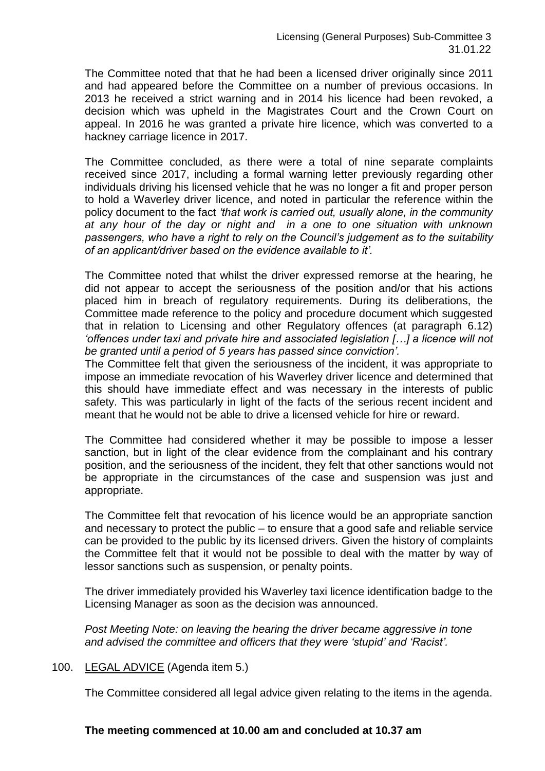The Committee noted that that he had been a licensed driver originally since 2011 and had appeared before the Committee on a number of previous occasions. In 2013 he received a strict warning and in 2014 his licence had been revoked, a decision which was upheld in the Magistrates Court and the Crown Court on appeal. In 2016 he was granted a private hire licence, which was converted to a hackney carriage licence in 2017.

The Committee concluded, as there were a total of nine separate complaints received since 2017, including a formal warning letter previously regarding other individuals driving his licensed vehicle that he was no longer a fit and proper person to hold a Waverley driver licence, and noted in particular the reference within the policy document to the fact *'that work is carried out, usually alone, in the community at any hour of the day or night and in a one to one situation with unknown passengers, who have a right to rely on the Council's judgement as to the suitability of an applicant/driver based on the evidence available to it'.*

The Committee noted that whilst the driver expressed remorse at the hearing, he did not appear to accept the seriousness of the position and/or that his actions placed him in breach of regulatory requirements. During its deliberations, the Committee made reference to the policy and procedure document which suggested that in relation to Licensing and other Regulatory offences (at paragraph 6.12) *'offences under taxi and private hire and associated legislation […] a licence will not be granted until a period of 5 years has passed since conviction'.*

The Committee felt that given the seriousness of the incident, it was appropriate to impose an immediate revocation of his Waverley driver licence and determined that this should have immediate effect and was necessary in the interests of public safety. This was particularly in light of the facts of the serious recent incident and meant that he would not be able to drive a licensed vehicle for hire or reward.

The Committee had considered whether it may be possible to impose a lesser sanction, but in light of the clear evidence from the complainant and his contrary position, and the seriousness of the incident, they felt that other sanctions would not be appropriate in the circumstances of the case and suspension was just and appropriate.

The Committee felt that revocation of his licence would be an appropriate sanction and necessary to protect the public – to ensure that a good safe and reliable service can be provided to the public by its licensed drivers. Given the history of complaints the Committee felt that it would not be possible to deal with the matter by way of lessor sanctions such as suspension, or penalty points.

The driver immediately provided his Waverley taxi licence identification badge to the Licensing Manager as soon as the decision was announced.

*Post Meeting Note: on leaving the hearing the driver became aggressive in tone and advised the committee and officers that they were 'stupid' and 'Racist'.*

#### 100. LEGAL ADVICE (Agenda item 5.)

The Committee considered all legal advice given relating to the items in the agenda.

#### **The meeting commenced at 10.00 am and concluded at 10.37 am**